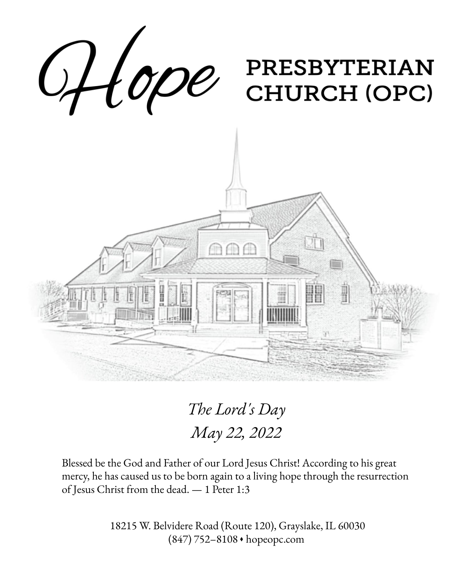

*The Lord's Day May 22, 2022*

Blessed be the God and Father of our Lord Jesus Christ! According to his great mercy, he has caused us to be born again to a living hope through the resurrection of Jesus Christ from the dead. — 1 Peter 1:3

> 18215 W. Belvidere Road (Route 120), Grayslake, IL 60030 (847) 752–8108 ◆ hopeopc.com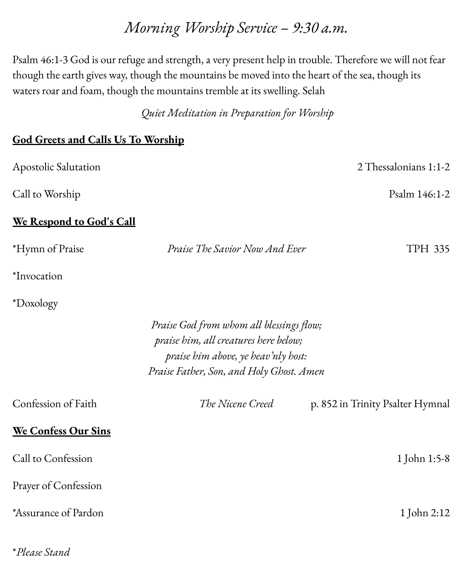## *Morning Worship Service – 9:30 a.m.*

Psalm 46:1-3 God is our refuge and strength, a very present help in trouble. Therefore we will not fear though the earth gives way, though the mountains be moved into the heart of the sea, though its waters roar and foam, though the mountains tremble at its swelling. Selah

*Quiet Meditation in Preparation for Worship*

#### **God Greets and Calls Us To Worship**

\**Please Stand*

| Apostolic Salutation                                                                                                                                                 |                                | 2 Thessalonians 1:1-2            |  |
|----------------------------------------------------------------------------------------------------------------------------------------------------------------------|--------------------------------|----------------------------------|--|
| Call to Worship                                                                                                                                                      |                                | Psalm 146:1-2                    |  |
| We Respond to God's Call                                                                                                                                             |                                |                                  |  |
| *Hymn of Praise                                                                                                                                                      | Praise The Savior Now And Ever | <b>TPH 335</b>                   |  |
| *Invocation                                                                                                                                                          |                                |                                  |  |
| *Doxology                                                                                                                                                            |                                |                                  |  |
| Praise God from whom all blessings flow;<br>praise him, all creatures here below;<br>praise him above, ye heav'nly host:<br>Praise Father, Son, and Holy Ghost. Amen |                                |                                  |  |
| Confession of Faith                                                                                                                                                  | The Nicene Creed               | p. 852 in Trinity Psalter Hymnal |  |
| <b>We Confess Our Sins</b>                                                                                                                                           |                                |                                  |  |
| Call to Confession                                                                                                                                                   |                                | 1 John 1:5-8                     |  |
| Prayer of Confession                                                                                                                                                 |                                |                                  |  |
| *Assurance of Pardon                                                                                                                                                 |                                | 1 John 2:12                      |  |
|                                                                                                                                                                      |                                |                                  |  |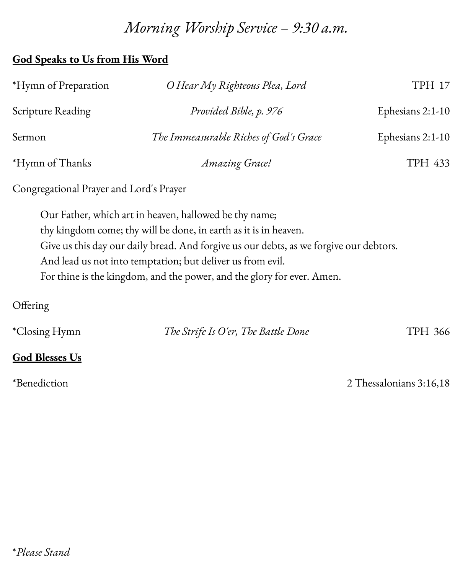# *Morning Worship Service – 9:30 a.m.*

### **God Speaks to Us from His Word**

| *Hymn of Preparation                    | O Hear My Righteous Plea, Lord                                   | TPH 17           |
|-----------------------------------------|------------------------------------------------------------------|------------------|
| Scripture Reading                       | Provided Bible, p. 976                                           | Ephesians 2:1-10 |
| Sermon                                  | The Immeasurable Riches of God's Grace                           | Ephesians 2:1-10 |
| *Hymn of Thanks                         | Amazing Grace!                                                   | TPH 433          |
| Congregational Prayer and Lord's Prayer |                                                                  |                  |
|                                         | Our Father, which art in heaven, hallowed be thy name;           |                  |
|                                         | thy kingdom come; thy will be done, in earth as it is in heaven. |                  |

Give us this day our daily bread. And forgive us our debts, as we forgive our debtors.

And lead us not into temptation; but deliver us from evil.

For thine is the kingdom, and the power, and the glory for ever. Amen.

#### **Offering**

| <i>*Closing Hymn</i> | The Strife Is O'er, The Battle Done | TPH 366 |
|----------------------|-------------------------------------|---------|
|                      |                                     |         |

### **God Blesses Us**

\*Benediction 2 Thessalonians 3:16,18